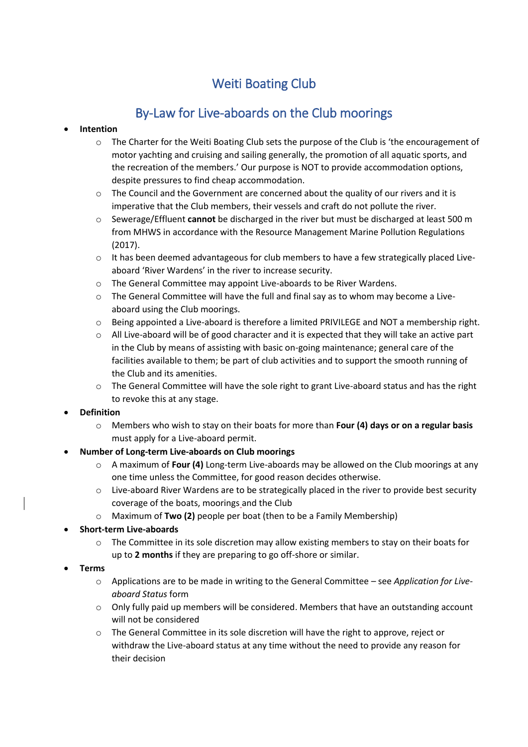# Weiti Boating Club

## By-Law for Live-aboards on the Club moorings

### **Intention**

- $\circ$  The Charter for the Weiti Boating Club sets the purpose of the Club is 'the encouragement of motor yachting and cruising and sailing generally, the promotion of all aquatic sports, and the recreation of the members.' Our purpose is NOT to provide accommodation options, despite pressures to find cheap accommodation.
- $\circ$  The Council and the Government are concerned about the quality of our rivers and it is imperative that the Club members, their vessels and craft do not pollute the river.
- o Sewerage/Effluent **cannot** be discharged in the river but must be discharged at least 500 m from MHWS in accordance with the Resource Management Marine Pollution Regulations (2017).
- $\circ$  It has been deemed advantageous for club members to have a few strategically placed Liveaboard 'River Wardens' in the river to increase security.
- o The General Committee may appoint Live-aboards to be River Wardens.
- $\circ$  The General Committee will have the full and final say as to whom may become a Liveaboard using the Club moorings.
- o Being appointed a Live-aboard is therefore a limited PRIVILEGE and NOT a membership right.
- o All Live-aboard will be of good character and it is expected that they will take an active part in the Club by means of assisting with basic on-going maintenance; general care of the facilities available to them; be part of club activities and to support the smooth running of the Club and its amenities.
- $\circ$  The General Committee will have the sole right to grant Live-aboard status and has the right to revoke this at any stage.

#### **Definition**

o Members who wish to stay on their boats for more than **Four (4) days or on a regular basis** must apply for a Live-aboard permit.

## **Number of Long-term Live-aboards on Club moorings**

- o A maximum of **Four (4)** Long-term Live-aboards may be allowed on the Club moorings at any one time unless the Committee, for good reason decides otherwise.
- $\circ$  Live-aboard River Wardens are to be strategically placed in the river to provide best security coverage of the boats, moorings and the Club
- o Maximum of **Two (2)** people per boat (then to be a Family Membership)

## **Short-term Live-aboards**

- $\circ$  The Committee in its sole discretion may allow existing members to stay on their boats for up to **2 months** if they are preparing to go off-shore or similar.
- **Terms**
	- o Applications are to be made in writing to the General Committee see *Application for Liveaboard Status* form
	- $\circ$  Only fully paid up members will be considered. Members that have an outstanding account will not be considered
	- $\circ$  The General Committee in its sole discretion will have the right to approve, reject or withdraw the Live-aboard status at any time without the need to provide any reason for their decision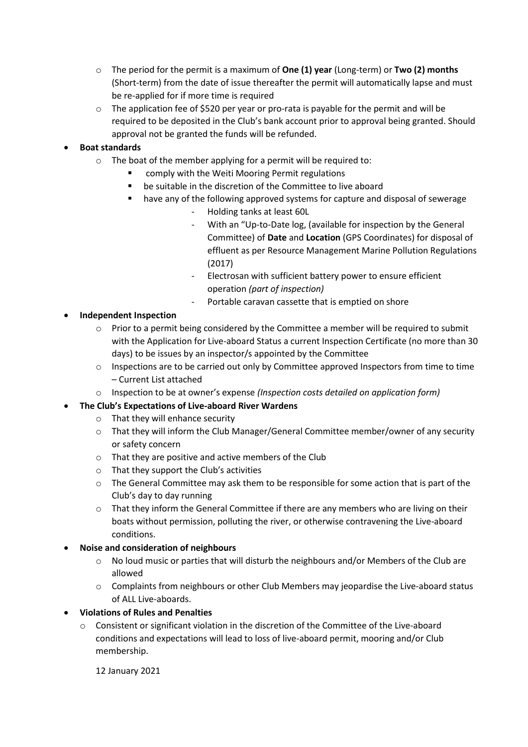- o The period for the permit is a maximum of **One (1) year** (Long-term) or **Two (2) months** (Short-term) from the date of issue thereafter the permit will automatically lapse and must be re-applied for if more time is required
- $\circ$  The application fee of \$520 per year or pro-rata is payable for the permit and will be required to be deposited in the Club's bank account prior to approval being granted. Should approval not be granted the funds will be refunded.

#### **Boat standards**

- $\circ$  The boat of the member applying for a permit will be required to:
	- comply with the Weiti Mooring Permit regulations
	- be suitable in the discretion of the Committee to live aboard
	- have any of the following approved systems for capture and disposal of sewerage
		- Holding tanks at least 60L
		- With an "Up-to-Date log, (available for inspection by the General Committee) of **Date** and **Location** (GPS Coordinates) for disposal of effluent as per Resource Management Marine Pollution Regulations (2017)
		- Electrosan with sufficient battery power to ensure efficient operation *(part of inspection)*
		- Portable caravan cassette that is emptied on shore

#### **Independent Inspection**

- $\circ$  Prior to a permit being considered by the Committee a member will be required to submit with the Application for Live-aboard Status a current Inspection Certificate (no more than 30 days) to be issues by an inspector/s appointed by the Committee
- o Inspections are to be carried out only by Committee approved Inspectors from time to time – Current List attached
- o Inspection to be at owner's expense *(Inspection costs detailed on application form)*

## **The Club's Expectations of Live-aboard River Wardens**

- o That they will enhance security
- o That they will inform the Club Manager/General Committee member/owner of any security or safety concern
- o That they are positive and active members of the Club
- o That they support the Club's activities
- $\circ$  The General Committee may ask them to be responsible for some action that is part of the Club's day to day running
- $\circ$  That they inform the General Committee if there are any members who are living on their boats without permission, polluting the river, or otherwise contravening the Live-aboard conditions.

#### **Noise and consideration of neighbours**

- o No loud music or parties that will disturb the neighbours and/or Members of the Club are allowed
- o Complaints from neighbours or other Club Members may jeopardise the Live-aboard status of ALL Live-aboards.

## **Violations of Rules and Penalties**

o Consistent or significant violation in the discretion of the Committee of the Live-aboard conditions and expectations will lead to loss of live-aboard permit, mooring and/or Club membership.

12 January 2021